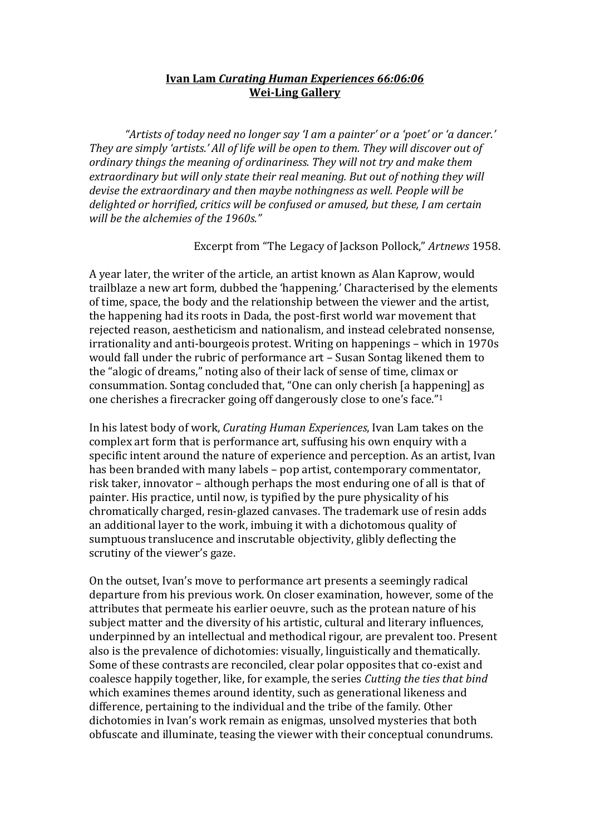## **Ivan Lam** *Curating Human Experiences 66:06:06* **Wei-Ling Gallery**

*"Artists of today need no longer say 'I am a painter' or a 'poet' or 'a dancer.' They are simply 'artists.' All of life will be open to them. They will discover out of ordinary things the meaning of ordinariness. They will not try and make them extraordinary but will only state their real meaning. But out of nothing they will devise the extraordinary and then maybe nothingness as well. People will be delighted or horrified, critics will be confused or amused, but these, I am certain will be the alchemies of the 1960s."*

Excerpt from "The Legacy of Jackson Pollock," *Artnews* 1958.

A year later, the writer of the article, an artist known as Alan Kaprow, would trailblaze a new art form, dubbed the 'happening.' Characterised by the elements of time, space, the body and the relationship between the viewer and the artist, the happening had its roots in Dada, the post-first world war movement that rejected reason, aestheticism and nationalism, and instead celebrated nonsense, irrationality and anti-bourgeois protest. Writing on happenings – which in 1970s would fall under the rubric of performance art – Susan Sontag likened them to the "alogic of dreams," noting also of their lack of sense of time, climax or consummation. Sontag concluded that, "One can only cherish [a happening] as one cherishes a firecracker going off dangerously close to one's face."1

In his latest body of work, *Curating Human Experiences*, Ivan Lam takes on the complex art form that is performance art, suffusing his own enquiry with a specific intent around the nature of experience and perception. As an artist, Ivan has been branded with many labels – pop artist, contemporary commentator, risk taker, innovator – although perhaps the most enduring one of all is that of painter. His practice, until now, is typified by the pure physicality of his chromatically charged, resin-glazed canvases. The trademark use of resin adds an additional layer to the work, imbuing it with a dichotomous quality of sumptuous translucence and inscrutable objectivity, glibly deflecting the scrutiny of the viewer's gaze.

On the outset, Ivan's move to performance art presents a seemingly radical departure from his previous work. On closer examination, however, some of the attributes that permeate his earlier oeuvre, such as the protean nature of his subject matter and the diversity of his artistic, cultural and literary influences, underpinned by an intellectual and methodical rigour, are prevalent too. Present also is the prevalence of dichotomies: visually, linguistically and thematically. Some of these contrasts are reconciled, clear polar opposites that co-exist and coalesce happily together, like, for example, the series *Cutting the ties that bind* which examines themes around identity, such as generational likeness and difference, pertaining to the individual and the tribe of the family. Other dichotomies in Ivan's work remain as enigmas, unsolved mysteries that both obfuscate and illuminate, teasing the viewer with their conceptual conundrums.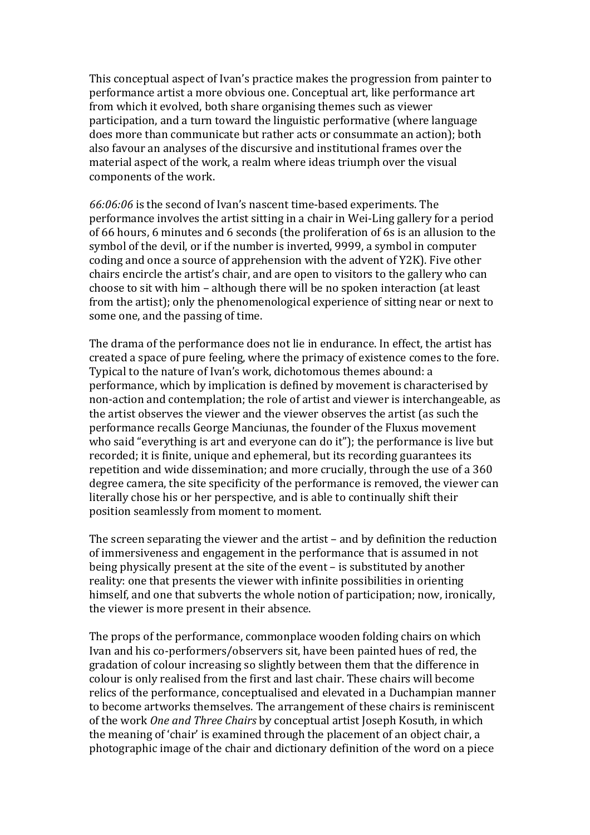This conceptual aspect of Ivan's practice makes the progression from painter to performance artist a more obvious one. Conceptual art, like performance art from which it evolved, both share organising themes such as viewer participation, and a turn toward the linguistic performative (where language does more than communicate but rather acts or consummate an action); both also favour an analyses of the discursive and institutional frames over the material aspect of the work, a realm where ideas triumph over the visual components of the work.

*66:06:06* is the second of Ivan's nascent time-based experiments. The performance involves the artist sitting in a chair in Wei-Ling gallery for a period of 66 hours, 6 minutes and 6 seconds (the proliferation of 6s is an allusion to the symbol of the devil, or if the number is inverted, 9999, a symbol in computer coding and once a source of apprehension with the advent of Y2K). Five other chairs encircle the artist's chair, and are open to visitors to the gallery who can choose to sit with him – although there will be no spoken interaction (at least from the artist); only the phenomenological experience of sitting near or next to some one, and the passing of time.

The drama of the performance does not lie in endurance. In effect, the artist has created a space of pure feeling, where the primacy of existence comes to the fore. Typical to the nature of Ivan's work, dichotomous themes abound: a performance, which by implication is defined by movement is characterised by non-action and contemplation; the role of artist and viewer is interchangeable, as the artist observes the viewer and the viewer observes the artist (as such the performance recalls George Manciunas, the founder of the Fluxus movement who said "everything is art and everyone can do it"); the performance is live but recorded; it is finite, unique and ephemeral, but its recording guarantees its repetition and wide dissemination; and more crucially, through the use of a 360 degree camera, the site specificity of the performance is removed, the viewer can literally chose his or her perspective, and is able to continually shift their position seamlessly from moment to moment.

The screen separating the viewer and the artist – and by definition the reduction of immersiveness and engagement in the performance that is assumed in not being physically present at the site of the event – is substituted by another reality: one that presents the viewer with infinite possibilities in orienting himself, and one that subverts the whole notion of participation; now, ironically, the viewer is more present in their absence.

The props of the performance, commonplace wooden folding chairs on which Ivan and his co-performers/observers sit, have been painted hues of red, the gradation of colour increasing so slightly between them that the difference in colour is only realised from the first and last chair. These chairs will become relics of the performance, conceptualised and elevated in a Duchampian manner to become artworks themselves. The arrangement of these chairs is reminiscent of the work *One and Three Chairs* by conceptual artist Joseph Kosuth*,* in which the meaning of 'chair' is examined through the placement of an object chair, a photographic image of the chair and dictionary definition of the word on a piece